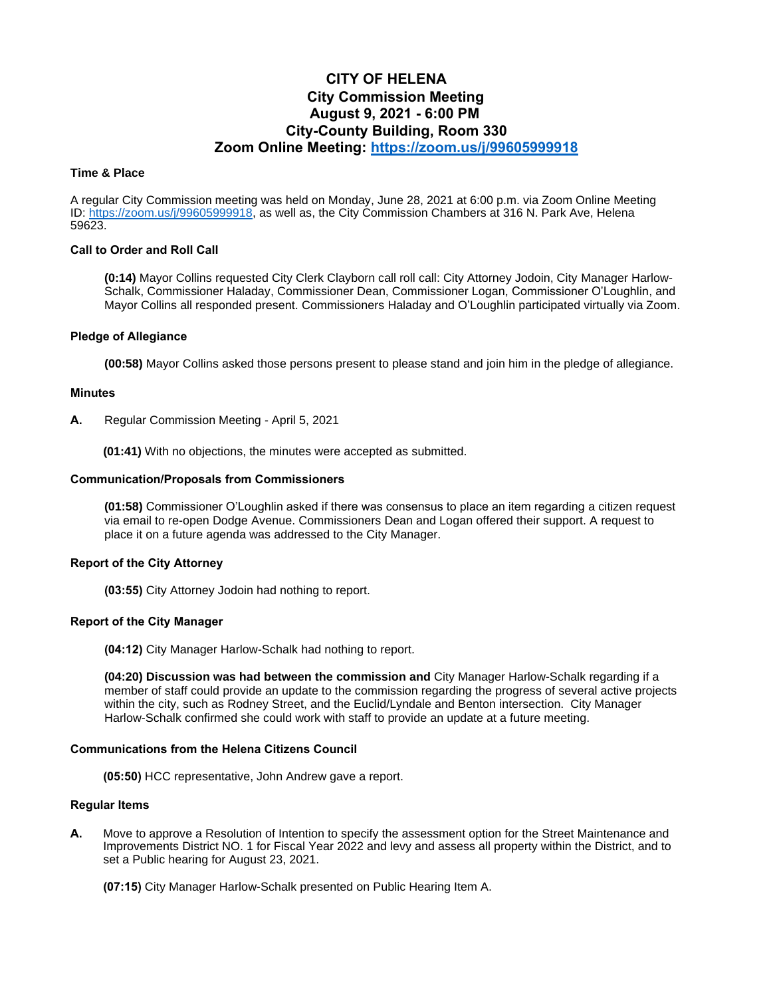# **CITY OF HELENA City Commission Meeting August 9, 2021 - 6:00 PM City-County Building, Room 330 Zoom Online Meeting:<https://zoom.us/j/99605999918>**

## **Time & Place**

A regular City Commission meeting was held on Monday, June 28, 2021 at 6:00 p.m. via Zoom Online Meeting ID: [https://zoom.us/j/99605999918,](https://zoom.us/j/99605999918) as well as, the City Commission Chambers at 316 N. Park Ave, Helena 59623.

## **Call to Order and Roll Call**

**(0:14)** Mayor Collins requested City Clerk Clayborn call roll call: City Attorney Jodoin, City Manager Harlow-Schalk, Commissioner Haladay, Commissioner Dean, Commissioner Logan, Commissioner O'Loughlin, and Mayor Collins all responded present. Commissioners Haladay and O'Loughlin participated virtually via Zoom.

## **Pledge of Allegiance**

**(00:58)** Mayor Collins asked those persons present to please stand and join him in the pledge of allegiance.

#### **Minutes**

**A.** Regular Commission Meeting - April 5, 2021

**(01:41)** With no objections, the minutes were accepted as submitted.

### **Communication/Proposals from Commissioners**

**(01:58)** Commissioner O'Loughlin asked if there was consensus to place an item regarding a citizen request via email to re-open Dodge Avenue. Commissioners Dean and Logan offered their support. A request to place it on a future agenda was addressed to the City Manager.

# **Report of the City Attorney**

**(03:55)** City Attorney Jodoin had nothing to report.

# **Report of the City Manager**

**(04:12)** City Manager Harlow-Schalk had nothing to report.

**(04:20) Discussion was had between the commission and** City Manager Harlow-Schalk regarding if a member of staff could provide an update to the commission regarding the progress of several active projects within the city, such as Rodney Street, and the Euclid/Lyndale and Benton intersection. City Manager Harlow-Schalk confirmed she could work with staff to provide an update at a future meeting.

### **Communications from the Helena Citizens Council**

**(05:50)** HCC representative, John Andrew gave a report.

## **Regular Items**

**A.** Move to approve a Resolution of Intention to specify the assessment option for the Street Maintenance and Improvements District NO. 1 for Fiscal Year 2022 and levy and assess all property within the District, and to set a Public hearing for August 23, 2021.

**(07:15)** City Manager Harlow-Schalk presented on Public Hearing Item A.